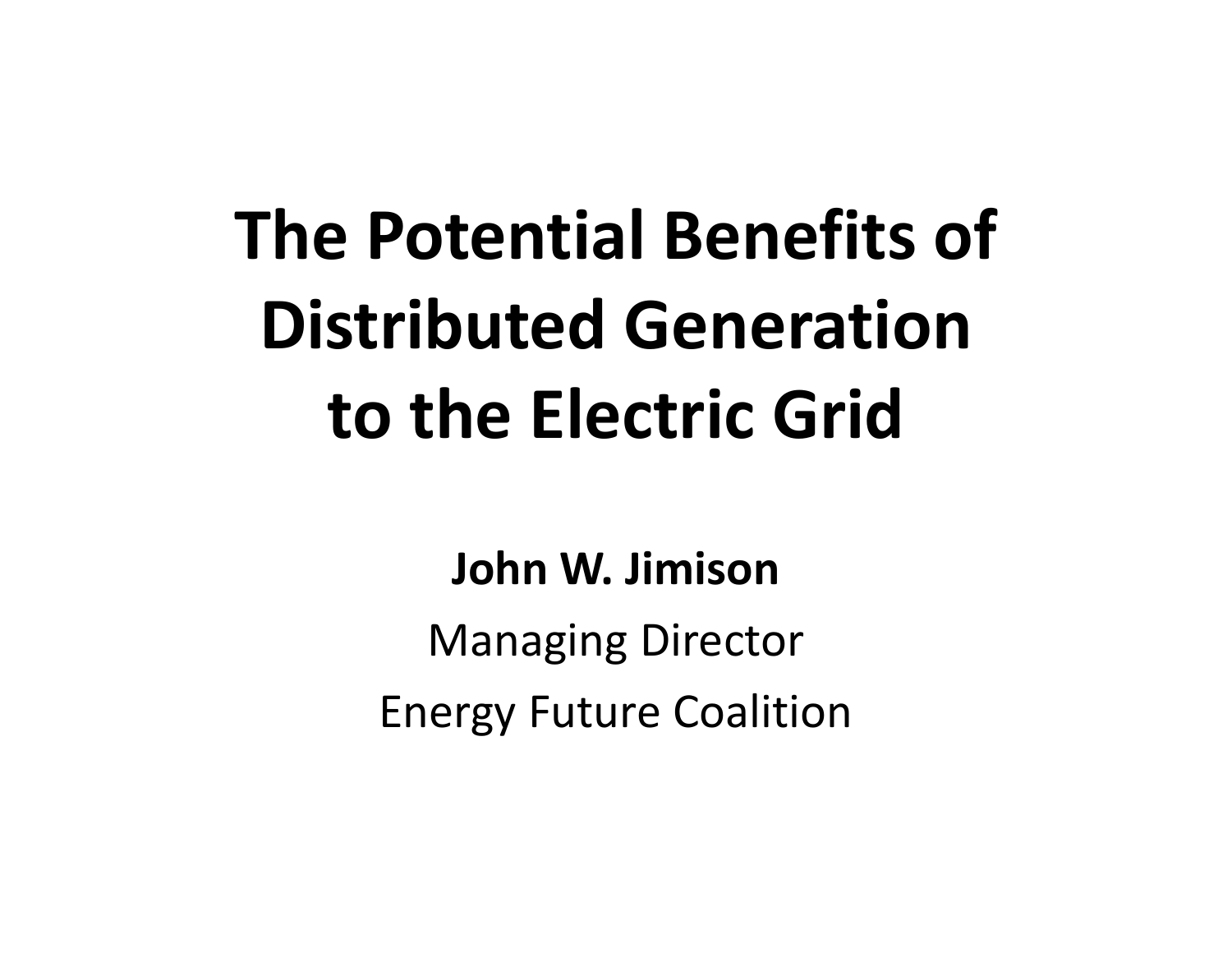# **The Potential Benefits of Distributed Generation to the Electric Grid**

#### **John W. Jimison**

Managing Director Energy Future Coalition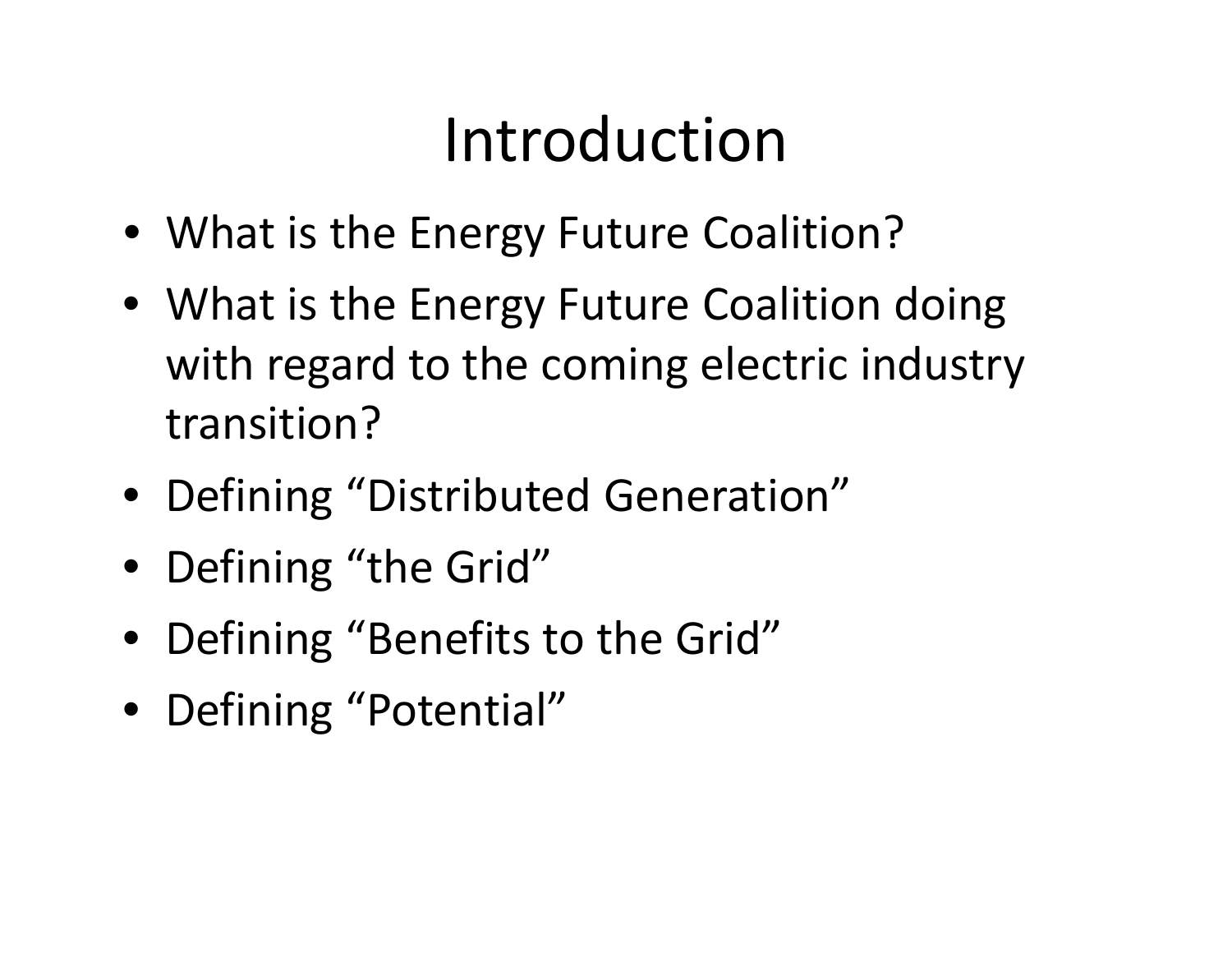## Introduction

- What is the Energy Future Coalition?
- What is the Energy Future Coalition doing with regard to the coming electric industry transition?
- Defining "Distributed Generation"
- Defining "the Grid"
- Defining "Benefits to the Grid"
- Defining "Potential"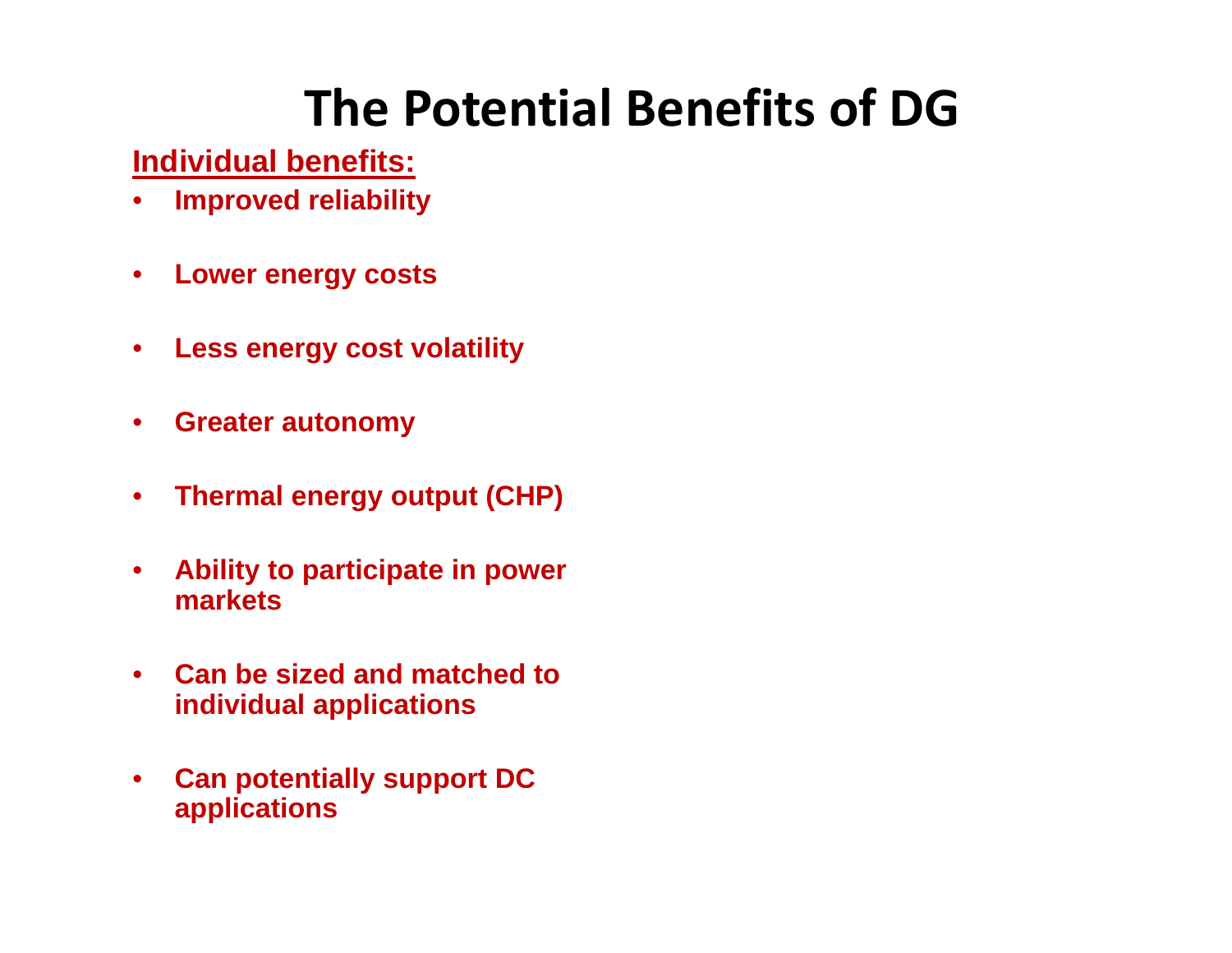#### **The Potential Benefits of DG**

**Individual benefits:**

- $\bullet$ **Improved reliability**
- $\bullet$ **Lower energy costs**
- $\bullet$ **Less energy cost volatility**
- $\bullet$ **Greater autonomy**
- $\bullet$ **Thermal energy output (CHP)**
- $\bullet$  **Ability to participate in power markets**
- $\bullet$  **Can be sized and matched to individual applications**
- $\bullet$  **Can potentially support DC applications**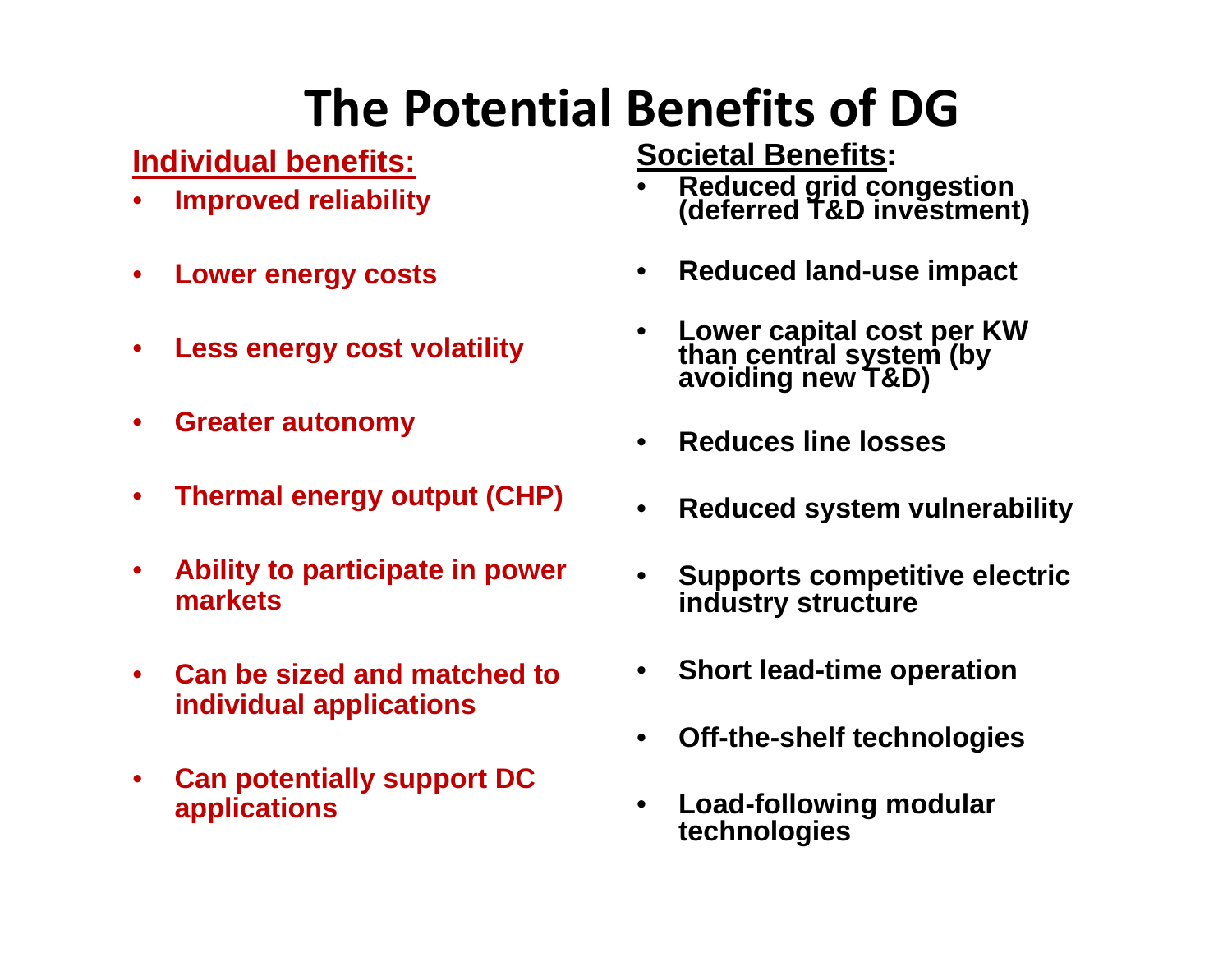### **The Potential Benefits of DG**

**Individual benefits:**

- •**Improved reliability**
- $\bullet$ **Lower energy costs**
- •**Less energy cost volatility**
- •**Greater autonomy**
- $\bullet$ **Thermal energy output (CHP)**
- $\bullet$  **Ability to participate in power markets**
- $\bullet$  **Can be sized and matched to individual applications**
- • **Can potentially support DC applications**

**Societal Benefits:**

- •**Reduced grid congestion (deferred T&D investment)**
- $\bullet$ **Reduced land-use impact**
- •**Lower capital cost per KW than central system (by avoiding new T&D)**
- $\bullet$ **Reduces line losses**
- •**Reduced system vulnerability**
- • **Supports competitive electric industry structure**
- **Short lead-time operation**
- •**Off-the-shelf technologies**
- • **Load-following modular technologies**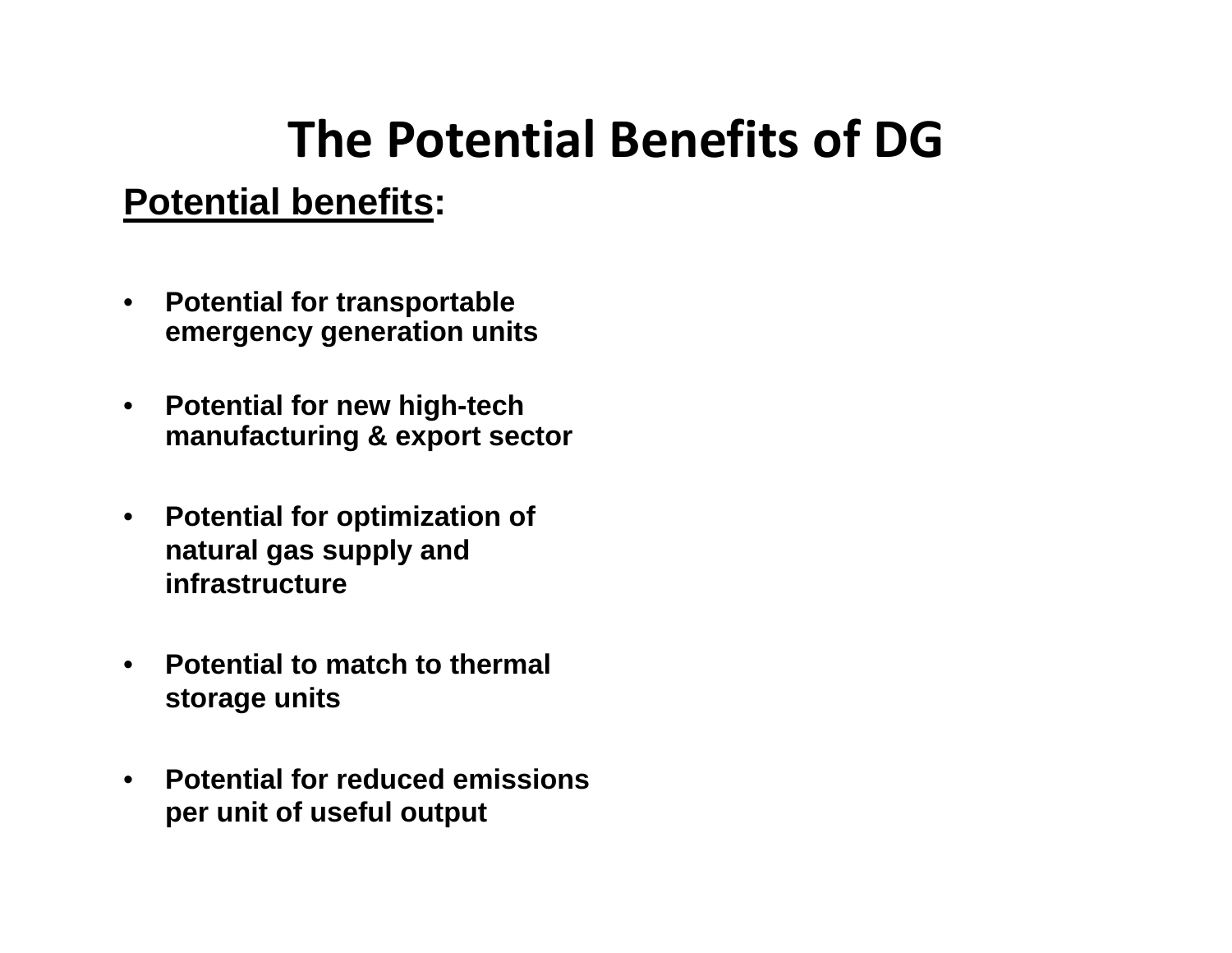#### **The Potential Benefits of DG**

#### **Potential benefits:**

- $\bullet$  **Potential for transportable emergency generation units**
- $\bullet$  **Potential for new high-tech manufacturing & export sector**
- • **Potential for optimization of natural gas supply and infrastructure**
- • **Potential to match to thermal storage units**
- • **Potential for reduced emissions per unit of useful output**